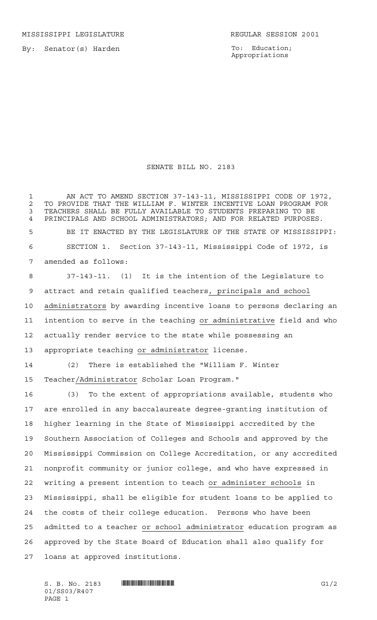MISSISSIPPI LEGISLATURE **REGULAR SESSION 2001** 

By: Senator(s) Harden

To: Education; Appropriations

## SENATE BILL NO. 2183

 AN ACT TO AMEND SECTION 37-143-11, MISSISSIPPI CODE OF 1972, 2 TO PROVIDE THAT THE WILLIAM F. WINTER INCENTIVE LOAN PROGRAM FOR<br>3 TEACHERS SHALL BE FULLY AVAILABLE TO STUDENTS PREPARING TO BE TEACHERS SHALL BE FULLY AVAILABLE TO STUDENTS PREPARING TO BE PRINCIPALS AND SCHOOL ADMINISTRATORS; AND FOR RELATED PURPOSES. BE IT ENACTED BY THE LEGISLATURE OF THE STATE OF MISSISSIPPI: SECTION 1. Section 37-143-11, Mississippi Code of 1972, is amended as follows:

 37-143-11. (1) It is the intention of the Legislature to attract and retain qualified teachers, principals and school administrators by awarding incentive loans to persons declaring an intention to serve in the teaching or administrative field and who actually render service to the state while possessing an appropriate teaching or administrator license.

 (2) There is established the "William F. Winter Teacher/Administrator Scholar Loan Program."

 (3) To the extent of appropriations available, students who are enrolled in any baccalaureate degree-granting institution of higher learning in the State of Mississippi accredited by the Southern Association of Colleges and Schools and approved by the Mississippi Commission on College Accreditation, or any accredited nonprofit community or junior college, and who have expressed in writing a present intention to teach or administer schools in Mississippi, shall be eligible for student loans to be applied to the costs of their college education. Persons who have been admitted to a teacher or school administrator education program as approved by the State Board of Education shall also qualify for loans at approved institutions.

 $S. B. No. 2183$  **INNIFICALLY EXAMPLE ASSESSED ASSESSED ASSESSED ASSOCIATE**  $GI/2$ 01/SS03/R407 PAGE 1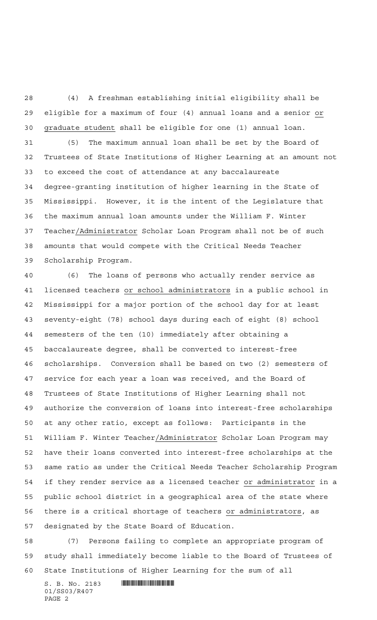(4) A freshman establishing initial eligibility shall be eligible for a maximum of four (4) annual loans and a senior or graduate student shall be eligible for one (1) annual loan. (5) The maximum annual loan shall be set by the Board of Trustees of State Institutions of Higher Learning at an amount not to exceed the cost of attendance at any baccalaureate degree-granting institution of higher learning in the State of Mississippi. However, it is the intent of the Legislature that the maximum annual loan amounts under the William F. Winter Teacher/Administrator Scholar Loan Program shall not be of such amounts that would compete with the Critical Needs Teacher Scholarship Program.

 (6) The loans of persons who actually render service as licensed teachers or school administrators in a public school in Mississippi for a major portion of the school day for at least seventy-eight (78) school days during each of eight (8) school semesters of the ten (10) immediately after obtaining a baccalaureate degree, shall be converted to interest-free scholarships. Conversion shall be based on two (2) semesters of service for each year a loan was received, and the Board of Trustees of State Institutions of Higher Learning shall not authorize the conversion of loans into interest-free scholarships at any other ratio, except as follows: Participants in the William F. Winter Teacher/Administrator Scholar Loan Program may have their loans converted into interest-free scholarships at the same ratio as under the Critical Needs Teacher Scholarship Program if they render service as a licensed teacher or administrator in a public school district in a geographical area of the state where there is a critical shortage of teachers or administrators, as designated by the State Board of Education.

 (7) Persons failing to complete an appropriate program of study shall immediately become liable to the Board of Trustees of State Institutions of Higher Learning for the sum of all

S. B. No. 2183 **. SECONDER SPECIES** 01/SS03/R407 PAGE 2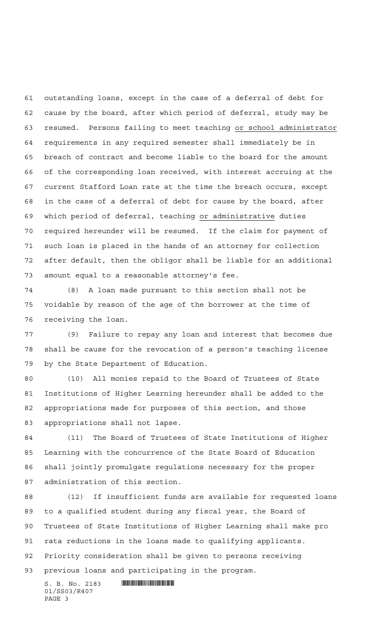outstanding loans, except in the case of a deferral of debt for cause by the board, after which period of deferral, study may be resumed. Persons failing to meet teaching or school administrator requirements in any required semester shall immediately be in breach of contract and become liable to the board for the amount of the corresponding loan received, with interest accruing at the current Stafford Loan rate at the time the breach occurs, except in the case of a deferral of debt for cause by the board, after which period of deferral, teaching or administrative duties required hereunder will be resumed. If the claim for payment of such loan is placed in the hands of an attorney for collection after default, then the obligor shall be liable for an additional amount equal to a reasonable attorney's fee.

 (8) A loan made pursuant to this section shall not be voidable by reason of the age of the borrower at the time of receiving the loan.

 (9) Failure to repay any loan and interest that becomes due shall be cause for the revocation of a person's teaching license by the State Department of Education.

 (10) All monies repaid to the Board of Trustees of State Institutions of Higher Learning hereunder shall be added to the appropriations made for purposes of this section, and those appropriations shall not lapse.

 (11) The Board of Trustees of State Institutions of Higher Learning with the concurrence of the State Board of Education shall jointly promulgate regulations necessary for the proper administration of this section.

 (12) If insufficient funds are available for requested loans to a qualified student during any fiscal year, the Board of Trustees of State Institutions of Higher Learning shall make pro rata reductions in the loans made to qualifying applicants. Priority consideration shall be given to persons receiving previous loans and participating in the program.

 $S. B. No. 2183$  .  $M$ 01/SS03/R407 PAGE 3